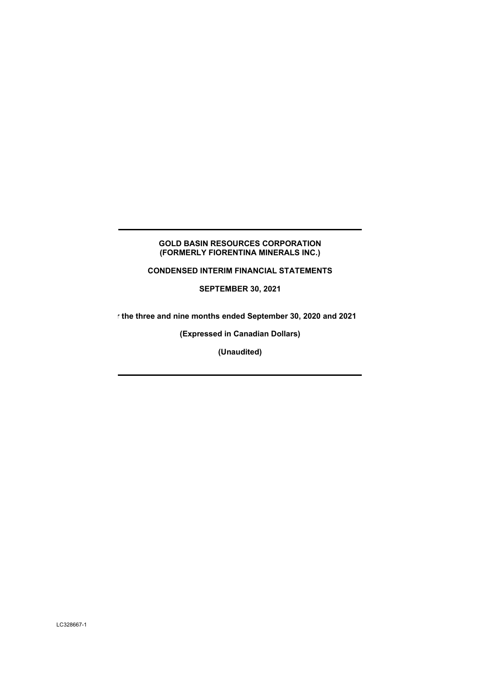## **GOLD BASIN RESOURCES CORPORATION (FORMERLY FIORENTINA MINERALS INC.)**

**CONDENSED INTERIM FINANCIAL STATEMENTS** 

**SEPTEMBER 30, 2021** 

**r the three and nine months ended September 30, 2020 and 2021** 

**(Expressed in Canadian Dollars)** 

**(Unaudited)**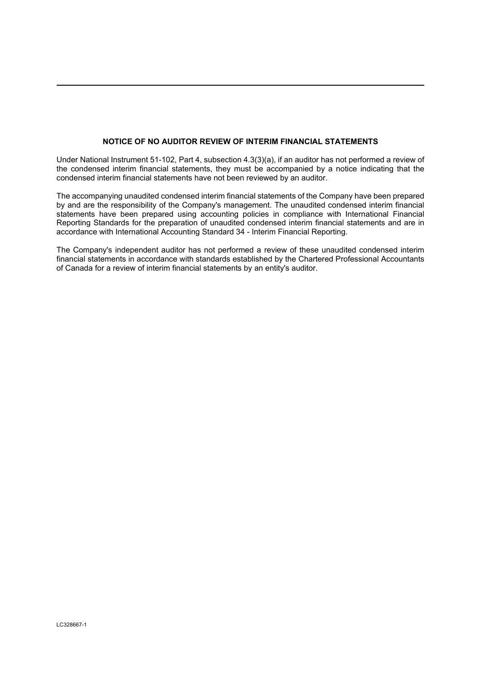## **NOTICE OF NO AUDITOR REVIEW OF INTERIM FINANCIAL STATEMENTS**

Under National Instrument 51-102, Part 4, subsection 4.3(3)(a), if an auditor has not performed a review of the condensed interim financial statements, they must be accompanied by a notice indicating that the condensed interim financial statements have not been reviewed by an auditor.

The accompanying unaudited condensed interim financial statements of the Company have been prepared by and are the responsibility of the Company's management. The unaudited condensed interim financial statements have been prepared using accounting policies in compliance with International Financial Reporting Standards for the preparation of unaudited condensed interim financial statements and are in accordance with International Accounting Standard 34 - Interim Financial Reporting.

The Company's independent auditor has not performed a review of these unaudited condensed interim financial statements in accordance with standards established by the Chartered Professional Accountants of Canada for a review of interim financial statements by an entity's auditor.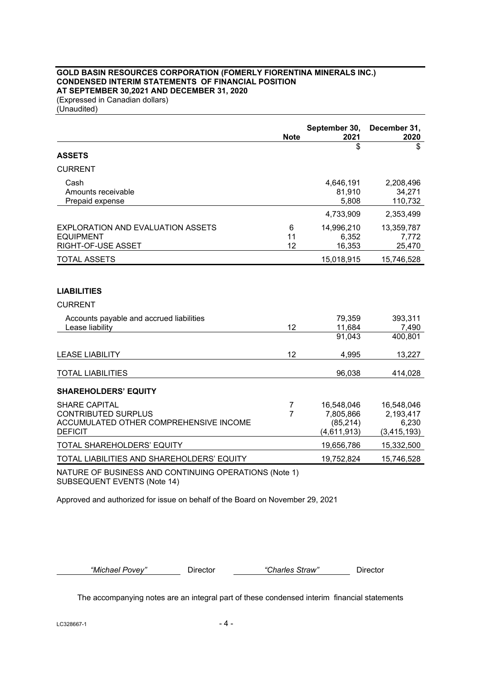## **GOLD BASIN RESOURCES CORPORATION (FOMERLY FIORENTINA MINERALS INC.) CONDENSED INTERIM STATEMENTS OF FINANCIAL POSITION AT SEPTEMBER 30,2021 AND DECEMBER 31, 2020**

(Expressed in Canadian dollars) (Unaudited)

|                                                                                                                | <b>Note</b>         | September 30,<br>2021                               | December 31,<br>2020                              |
|----------------------------------------------------------------------------------------------------------------|---------------------|-----------------------------------------------------|---------------------------------------------------|
| <b>ASSETS</b>                                                                                                  |                     | \$                                                  | \$                                                |
| <b>CURRENT</b>                                                                                                 |                     |                                                     |                                                   |
| Cash<br>Amounts receivable<br>Prepaid expense                                                                  |                     | 4,646,191<br>81,910<br>5,808                        | 2,208,496<br>34,271<br>110,732                    |
|                                                                                                                |                     | 4,733,909                                           | 2,353,499                                         |
| <b>EXPLORATION AND EVALUATION ASSETS</b><br><b>EQUIPMENT</b><br>RIGHT-OF-USE ASSET                             | 6<br>11<br>12       | 14,996,210<br>6,352<br>16,353                       | 13,359,787<br>7,772<br>25,470                     |
| <b>TOTAL ASSETS</b>                                                                                            |                     | 15,018,915                                          | 15,746,528                                        |
| <b>LIABILITIES</b>                                                                                             |                     |                                                     |                                                   |
| <b>CURRENT</b>                                                                                                 |                     |                                                     |                                                   |
| Accounts payable and accrued liabilities<br>Lease liability                                                    | 12                  | 79,359<br>11,684                                    | 393,311<br>7,490                                  |
|                                                                                                                |                     | 91,043                                              | 400,801                                           |
| <b>LEASE LIABILITY</b>                                                                                         | 12                  | 4,995                                               | 13,227                                            |
| <b>TOTAL LIABILITIES</b>                                                                                       |                     | 96,038                                              | 414,028                                           |
| <b>SHAREHOLDERS' EQUITY</b>                                                                                    |                     |                                                     |                                                   |
| <b>SHARE CAPITAL</b><br><b>CONTRIBUTED SURPLUS</b><br>ACCUMULATED OTHER COMPREHENSIVE INCOME<br><b>DEFICIT</b> | 7<br>$\overline{7}$ | 16,548,046<br>7,805,866<br>(85, 214)<br>(4,611,913) | 16,548,046<br>2,193,417<br>6,230<br>(3, 415, 193) |
| TOTAL SHAREHOLDERS' EQUITY                                                                                     |                     | 19,656,786                                          | 15,332,500                                        |
| TOTAL LIABILITIES AND SHAREHOLDERS' EQUITY                                                                     |                     | 19,752,824                                          | 15,746,528                                        |

NATURE OF BUSINESS AND CONTINUING OPERATIONS (Note 1) SUBSEQUENT EVENTS (Note 14)

Approved and authorized for issue on behalf of the Board on November 29, 2021

*"Michael Povey"* Director *"Charles Straw"* Director

The accompanying notes are an integral part of these condensed interim financial statements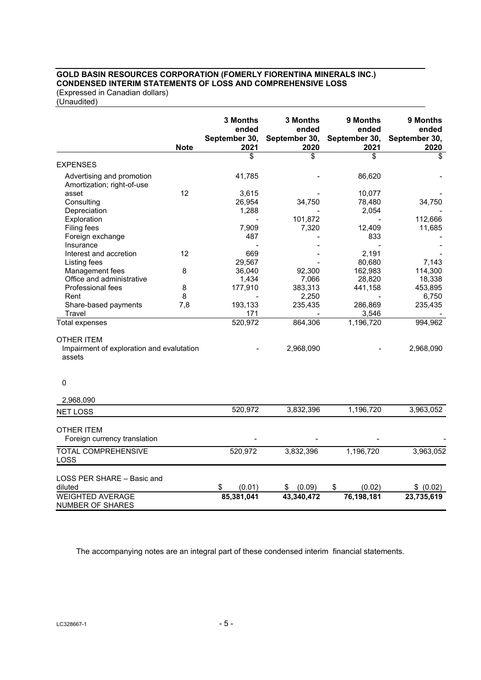## **GOLD BASIN RESOURCES CORPORATION (FOMERLY FIORENTINA MINERALS INC.) CONDENSED INTERIM STATEMENTS OF LOSS AND COMPREHENSIVE LOSS**

(Expressed in Canadian dollars) (Unaudited)

|                                                         | <b>Note</b> | 3 Months<br>ended<br>September 30,<br>2021 | 3 Months<br>ended<br>September 30,<br>2020 | 9 Months<br>ended<br>September 30,<br>2021 | 9 Months<br>ended<br>September 30,<br>2020 |
|---------------------------------------------------------|-------------|--------------------------------------------|--------------------------------------------|--------------------------------------------|--------------------------------------------|
|                                                         |             | \$                                         | \$                                         | \$                                         | \$                                         |
| <b>EXPENSES</b>                                         |             |                                            |                                            |                                            |                                            |
| Advertising and promotion<br>Amortization; right-of-use |             | 41,785                                     |                                            | 86,620                                     |                                            |
| asset                                                   | 12          | 3,615                                      |                                            | 10,077                                     |                                            |
| Consulting                                              |             | 26,954                                     | 34,750                                     | 78,480                                     | 34,750                                     |
| Depreciation                                            |             | 1,288                                      |                                            | 2,054                                      |                                            |
| Exploration                                             |             |                                            | 101,872                                    |                                            | 112,666                                    |
| Filing fees                                             |             | 7,909                                      | 7,320                                      | 12,409                                     | 11,685                                     |
| Foreign exchange                                        |             | 487                                        |                                            | 833                                        |                                            |
| Insurance                                               |             |                                            |                                            |                                            |                                            |
| Interest and accretion                                  | 12          | 669                                        |                                            | 2,191                                      |                                            |
| Listing fees                                            |             | 29,567                                     |                                            | 80,680                                     | 7,143                                      |
| Management fees                                         | 8           | 36,040                                     | 92,300                                     | 162,983                                    | 114,300                                    |
| Office and administrative                               |             | 1,434                                      | 7,066                                      | 28,820                                     | 18,338                                     |
| Professional fees                                       | 8           | 177,910                                    | 383,313                                    | 441,158                                    | 453,895                                    |
| Rent                                                    | 8           |                                            | 2,250                                      |                                            | 6,750                                      |
| Share-based payments                                    | 7,8         | 193,133                                    | 235,435                                    | 286,869                                    | 235,435                                    |
| Travel                                                  |             | 171                                        |                                            | 3,546                                      |                                            |
| <b>Total expenses</b>                                   |             | 520,972                                    | 864,306                                    | 1,196,720                                  | 994,962                                    |
| <b>OTHER ITEM</b>                                       |             |                                            |                                            |                                            |                                            |
| Impairment of exploration and evalutation<br>assets     |             |                                            | 2,968,090                                  |                                            | 2,968,090                                  |
| $\mathbf 0$                                             |             |                                            |                                            |                                            |                                            |
| 2,968,090                                               |             |                                            |                                            |                                            |                                            |
| <b>NET LOSS</b>                                         |             | 520,972                                    | 3,832,396                                  | 1,196,720                                  | 3,963,052                                  |
| OTHER ITEM<br>Foreign currency translation              |             |                                            |                                            |                                            |                                            |
| <b>TOTAL COMPREHENSIVE</b><br>LOSS                      |             | 520,972                                    | 3,832,396                                  | 1,196,720                                  | 3,963,052                                  |
| LOSS PER SHARE - Basic and<br>diluted                   |             | \$<br>(0.01)                               | (0.09)<br>\$                               | \$<br>(0.02)                               | \$ (0.02)                                  |
| <b>WEIGHTED AVERAGE</b><br>NUMBER OF SHARES             |             | 85,381,041                                 | 43,340,472                                 | 76,198,181                                 | 23,735,619                                 |

The accompanying notes are an integral part of these condensed interim financial statements.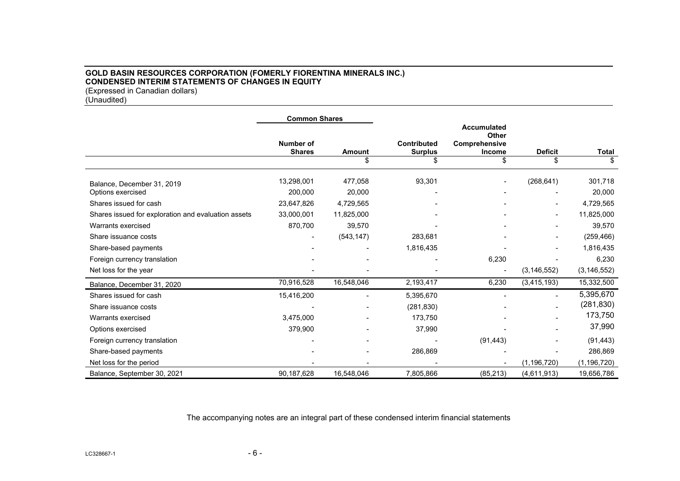## **GOLD BASIN RESOURCES CORPORATION (FOMERLY FIORENTINA MINERALS INC.) CONDENSED INTERIM STATEMENTS OF CHANGES IN EQUITY**  (Expressed in Canadian dollars)

(Unaudited)

|                                                     | <b>Common Shares</b>              |               |                                      |                                                              |                |               |  |
|-----------------------------------------------------|-----------------------------------|---------------|--------------------------------------|--------------------------------------------------------------|----------------|---------------|--|
|                                                     | <b>Number of</b><br><b>Shares</b> | <b>Amount</b> | <b>Contributed</b><br><b>Surplus</b> | <b>Accumulated</b><br>Other<br>Comprehensive<br>Income<br>\$ | <b>Deficit</b> | Total         |  |
|                                                     |                                   |               |                                      |                                                              |                |               |  |
| Balance, December 31, 2019                          | 13,298,001                        | 477,058       | 93,301                               |                                                              | (268, 641)     | 301,718       |  |
| Options exercised                                   | 200,000                           | 20,000        |                                      |                                                              |                | 20,000        |  |
| Shares issued for cash                              | 23,647,826                        | 4,729,565     |                                      |                                                              |                | 4,729,565     |  |
| Shares issued for exploration and evaluation assets | 33,000,001                        | 11,825,000    |                                      |                                                              |                | 11,825,000    |  |
| Warrants exercised                                  | 870,700                           | 39,570        |                                      |                                                              |                | 39,570        |  |
| Share issuance costs                                |                                   | (543, 147)    | 283,681                              |                                                              |                | (259, 466)    |  |
| Share-based payments                                |                                   |               | 1,816,435                            |                                                              |                | 1,816,435     |  |
| Foreign currency translation                        |                                   |               |                                      | 6,230                                                        |                | 6,230         |  |
| Net loss for the year                               |                                   |               |                                      |                                                              | (3, 146, 552)  | (3, 146, 552) |  |
| Balance, December 31, 2020                          | 70,916,528                        | 16,548,046    | 2,193,417                            | 6,230                                                        | (3, 415, 193)  | 15,332,500    |  |
| Shares issued for cash                              | 15,416,200                        |               | 5,395,670                            |                                                              |                | 5,395,670     |  |
| Share issuance costs                                |                                   |               | (281, 830)                           |                                                              |                | (281, 830)    |  |
| Warrants exercised                                  | 3,475,000                         |               | 173,750                              |                                                              |                | 173,750       |  |
| Options exercised                                   | 379,900                           |               | 37,990                               |                                                              |                | 37,990        |  |
| Foreign currency translation                        |                                   |               |                                      | (91, 443)                                                    |                | (91, 443)     |  |
| Share-based payments                                |                                   |               | 286,869                              |                                                              |                | 286,869       |  |
| Net loss for the period                             |                                   |               |                                      |                                                              | (1, 196, 720)  | (1, 196, 720) |  |
| Balance, September 30, 2021                         | 90,187,628                        | 16,548,046    | 7,805,866                            | (85, 213)                                                    | (4,611,913)    | 19,656,786    |  |

The accompanying notes are an integral part of these condensed interim financial statements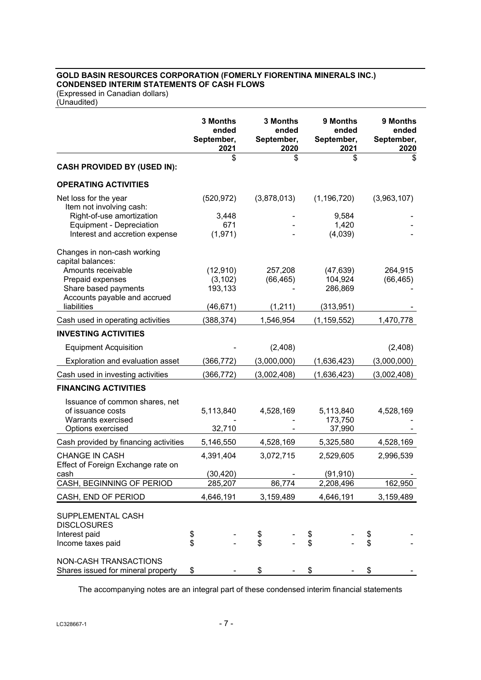# **GOLD BASIN RESOURCES CORPORATION (FOMERLY FIORENTINA MINERALS INC.) CONDENSED INTERIM STATEMENTS OF CASH FLOWS**

(Expressed in Canadian dollars) (Unaudited)

|                                                                                                |          | 3 Months<br>ended<br>September,<br>2021 | 3 Months<br>September, | ended<br>2020 |          | 9 Months<br>ended<br>September,<br>2021 |          | 9 Months<br>ended<br>September,<br>2020 |
|------------------------------------------------------------------------------------------------|----------|-----------------------------------------|------------------------|---------------|----------|-----------------------------------------|----------|-----------------------------------------|
|                                                                                                |          | \$                                      |                        | \$            |          | \$                                      |          | \$                                      |
| <b>CASH PROVIDED BY (USED IN):</b>                                                             |          |                                         |                        |               |          |                                         |          |                                         |
| <b>OPERATING ACTIVITIES</b>                                                                    |          |                                         |                        |               |          |                                         |          |                                         |
| Net loss for the year<br>Item not involving cash:<br>Right-of-use amortization                 |          | (520, 972)<br>3,448                     | (3,878,013)            |               |          | (1, 196, 720)<br>9,584                  |          | (3,963,107)                             |
| Equipment - Depreciation<br>Interest and accretion expense                                     |          | 671<br>(1, 971)                         |                        |               |          | 1,420<br>(4,039)                        |          |                                         |
| Changes in non-cash working<br>capital balances:                                               |          |                                         |                        |               |          |                                         |          |                                         |
| Amounts receivable<br>Prepaid expenses<br>Share based payments<br>Accounts payable and accrued |          | (12, 910)<br>(3, 102)<br>193,133        | 257,208<br>(66, 465)   |               |          | (47, 639)<br>104,924<br>286,869         |          | 264,915<br>(66, 465)                    |
| liabilities                                                                                    |          | (46, 671)                               | (1,211)                |               |          | (313, 951)                              |          |                                         |
| Cash used in operating activities                                                              |          | (388, 374)                              | 1,546,954              |               |          | (1, 159, 552)                           |          | 1,470,778                               |
| <b>INVESTING ACTIVITIES</b>                                                                    |          |                                         |                        |               |          |                                         |          |                                         |
| <b>Equipment Acquisition</b>                                                                   |          |                                         | (2,408)                |               |          |                                         |          | (2,408)                                 |
| Exploration and evaluation asset                                                               |          | (366, 772)                              | (3,000,000)            |               |          | (1,636,423)                             |          | (3,000,000)                             |
| Cash used in investing activities                                                              |          | (366, 772)                              | (3,002,408)            |               |          | (1,636,423)                             |          | (3,002,408)                             |
| <b>FINANCING ACTIVITIES</b>                                                                    |          |                                         |                        |               |          |                                         |          |                                         |
| Issuance of common shares, net<br>of issuance costs<br>Warrants exercised                      |          | 5,113,840                               | 4,528,169              |               |          | 5,113,840<br>173,750                    |          | 4,528,169                               |
| Options exercised                                                                              |          | 32,710                                  |                        |               |          | 37,990                                  |          |                                         |
| Cash provided by financing activities                                                          |          | 5,146,550                               | 4,528,169              |               |          | 5,325,580                               |          | 4,528,169                               |
| <b>CHANGE IN CASH</b><br>Effect of Foreign Exchange rate on                                    |          | 4,391,404                               | 3,072,715              |               |          | 2,529,605                               |          | 2,996,539                               |
| cash                                                                                           |          | (30, 420)                               |                        | ۰             |          | (91, 910)                               |          |                                         |
| CASH, BEGINNING OF PERIOD                                                                      |          | 285,207                                 | 86,774                 |               |          | 2,208,496                               |          | 162,950                                 |
| CASH, END OF PERIOD                                                                            |          | 4,646,191                               | 3,159,489              |               |          | 4,646,191                               |          | 3,159,489                               |
| SUPPLEMENTAL CASH<br><b>DISCLOSURES</b><br>Interest paid<br>Income taxes paid                  | \$<br>\$ |                                         | \$<br>\$               |               | \$<br>\$ |                                         | \$<br>\$ |                                         |
| <b>NON-CASH TRANSACTIONS</b><br>Shares issued for mineral property                             | \$       |                                         | \$                     |               | \$       |                                         | \$       |                                         |

The accompanying notes are an integral part of these condensed interim financial statements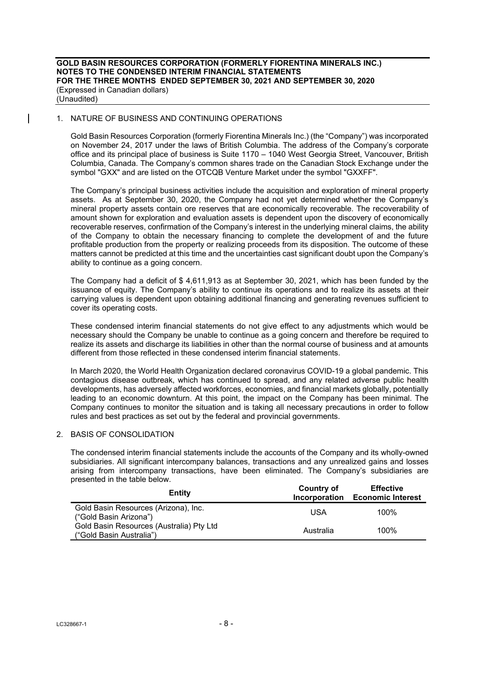### 1. NATURE OF BUSINESS AND CONTINUING OPERATIONS

 $\overline{\phantom{a}}$ 

Gold Basin Resources Corporation (formerly Fiorentina Minerals Inc.) (the "Company") was incorporated on November 24, 2017 under the laws of British Columbia. The address of the Company's corporate office and its principal place of business is Suite 1170 – 1040 West Georgia Street, Vancouver, British Columbia, Canada. The Company's common shares trade on the Canadian Stock Exchange under the symbol "GXX" and are listed on the OTCQB Venture Market under the symbol "GXXFF".

The Company's principal business activities include the acquisition and exploration of mineral property assets. As at September 30, 2020, the Company had not yet determined whether the Company's mineral property assets contain ore reserves that are economically recoverable. The recoverability of amount shown for exploration and evaluation assets is dependent upon the discovery of economically recoverable reserves, confirmation of the Company's interest in the underlying mineral claims, the ability of the Company to obtain the necessary financing to complete the development of and the future profitable production from the property or realizing proceeds from its disposition. The outcome of these matters cannot be predicted at this time and the uncertainties cast significant doubt upon the Company's ability to continue as a going concern.

The Company had a deficit of \$ 4,611,913 as at September 30, 2021, which has been funded by the issuance of equity. The Company's ability to continue its operations and to realize its assets at their carrying values is dependent upon obtaining additional financing and generating revenues sufficient to cover its operating costs.

These condensed interim financial statements do not give effect to any adjustments which would be necessary should the Company be unable to continue as a going concern and therefore be required to realize its assets and discharge its liabilities in other than the normal course of business and at amounts different from those reflected in these condensed interim financial statements.

In March 2020, the World Health Organization declared coronavirus COVID-19 a global pandemic. This contagious disease outbreak, which has continued to spread, and any related adverse public health developments, has adversely affected workforces, economies, and financial markets globally, potentially leading to an economic downturn. At this point, the impact on the Company has been minimal. The Company continues to monitor the situation and is taking all necessary precautions in order to follow rules and best practices as set out by the federal and provincial governments.

## 2. BASIS OF CONSOLIDATION

The condensed interim financial statements include the accounts of the Company and its wholly-owned subsidiaries. All significant intercompany balances, transactions and any unrealized gains and losses arising from intercompany transactions, have been eliminated. The Company's subsidiaries are presented in the table below.

| Entity                                                               | Country of<br><b>Incorporation</b> | <b>Effective</b><br><b>Economic Interest</b> |
|----------------------------------------------------------------------|------------------------------------|----------------------------------------------|
| Gold Basin Resources (Arizona), Inc.<br>("Gold Basin Arizona")       | USA                                | 100%                                         |
| Gold Basin Resources (Australia) Pty Ltd<br>("Gold Basin Australia") | Australia                          | 100%                                         |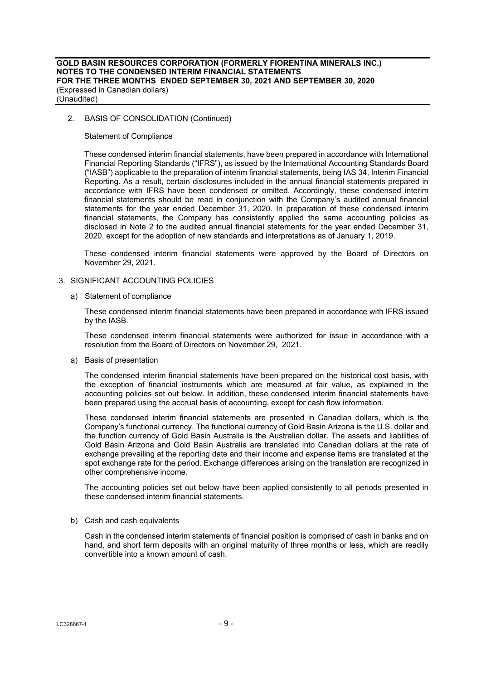## 2. BASIS OF CONSOLIDATION (Continued)

Statement of Compliance

These condensed interim financial statements, have been prepared in accordance with International Financial Reporting Standards ("IFRS"), as issued by the International Accounting Standards Board ("IASB") applicable to the preparation of interim financial statements, being IAS 34, Interim Financial Reporting. As a result, certain disclosures included in the annual financial statements prepared in accordance with IFRS have been condensed or omitted. Accordingly, these condensed interim financial statements should be read in conjunction with the Company's audited annual financial statements for the year ended December 31, 2020. In preparation of these condensed interim financial statements, the Company has consistently applied the same accounting policies as disclosed in Note 2 to the audited annual financial statements for the year ended December 31, 2020, except for the adoption of new standards and interpretations as of January 1, 2019.

These condensed interim financial statements were approved by the Board of Directors on November 29, 2021.

### .3. SIGNIFICANT ACCOUNTING POLICIES

a) Statement of compliance

These condensed interim financial statements have been prepared in accordance with IFRS issued by the IASB.

These condensed interim financial statements were authorized for issue in accordance with a resolution from the Board of Directors on November 29, 2021.

a) Basis of presentation

The condensed interim financial statements have been prepared on the historical cost basis, with the exception of financial instruments which are measured at fair value, as explained in the accounting policies set out below. In addition, these condensed interim financial statements have been prepared using the accrual basis of accounting, except for cash flow information.

These condensed interim financial statements are presented in Canadian dollars, which is the Company's functional currency. The functional currency of Gold Basin Arizona is the U.S. dollar and the function currency of Gold Basin Australia is the Australian dollar. The assets and liabilities of Gold Basin Arizona and Gold Basin Australia are translated into Canadian dollars at the rate of exchange prevailing at the reporting date and their income and expense items are translated at the spot exchange rate for the period. Exchange differences arising on the translation are recognized in other comprehensive income.

The accounting policies set out below have been applied consistently to all periods presented in these condensed interim financial statements.

#### b) Cash and cash equivalents

Cash in the condensed interim statements of financial position is comprised of cash in banks and on hand, and short term deposits with an original maturity of three months or less, which are readily convertible into a known amount of cash.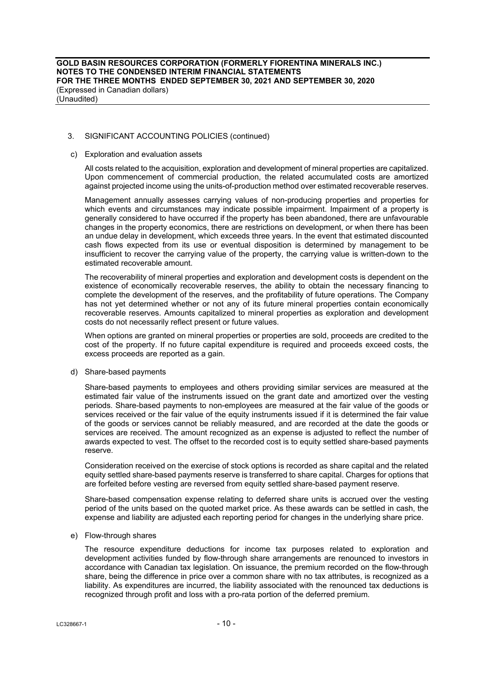### 3. SIGNIFICANT ACCOUNTING POLICIES (continued)

#### c) Exploration and evaluation assets

All costs related to the acquisition, exploration and development of mineral properties are capitalized. Upon commencement of commercial production, the related accumulated costs are amortized against projected income using the units-of-production method over estimated recoverable reserves.

Management annually assesses carrying values of non-producing properties and properties for which events and circumstances may indicate possible impairment. Impairment of a property is generally considered to have occurred if the property has been abandoned, there are unfavourable changes in the property economics, there are restrictions on development, or when there has been an undue delay in development, which exceeds three years. In the event that estimated discounted cash flows expected from its use or eventual disposition is determined by management to be insufficient to recover the carrying value of the property, the carrying value is written-down to the estimated recoverable amount.

The recoverability of mineral properties and exploration and development costs is dependent on the existence of economically recoverable reserves, the ability to obtain the necessary financing to complete the development of the reserves, and the profitability of future operations. The Company has not yet determined whether or not any of its future mineral properties contain economically recoverable reserves. Amounts capitalized to mineral properties as exploration and development costs do not necessarily reflect present or future values.

When options are granted on mineral properties or properties are sold, proceeds are credited to the cost of the property. If no future capital expenditure is required and proceeds exceed costs, the excess proceeds are reported as a gain.

#### d) Share-based payments

Share-based payments to employees and others providing similar services are measured at the estimated fair value of the instruments issued on the grant date and amortized over the vesting periods. Share-based payments to non-employees are measured at the fair value of the goods or services received or the fair value of the equity instruments issued if it is determined the fair value of the goods or services cannot be reliably measured, and are recorded at the date the goods or services are received. The amount recognized as an expense is adjusted to reflect the number of awards expected to vest. The offset to the recorded cost is to equity settled share-based payments reserve.

Consideration received on the exercise of stock options is recorded as share capital and the related equity settled share-based payments reserve is transferred to share capital. Charges for options that are forfeited before vesting are reversed from equity settled share-based payment reserve.

Share-based compensation expense relating to deferred share units is accrued over the vesting period of the units based on the quoted market price. As these awards can be settled in cash, the expense and liability are adjusted each reporting period for changes in the underlying share price.

#### e) Flow-through shares

The resource expenditure deductions for income tax purposes related to exploration and development activities funded by flow-through share arrangements are renounced to investors in accordance with Canadian tax legislation. On issuance, the premium recorded on the flow-through share, being the difference in price over a common share with no tax attributes, is recognized as a liability. As expenditures are incurred, the liability associated with the renounced tax deductions is recognized through profit and loss with a pro-rata portion of the deferred premium.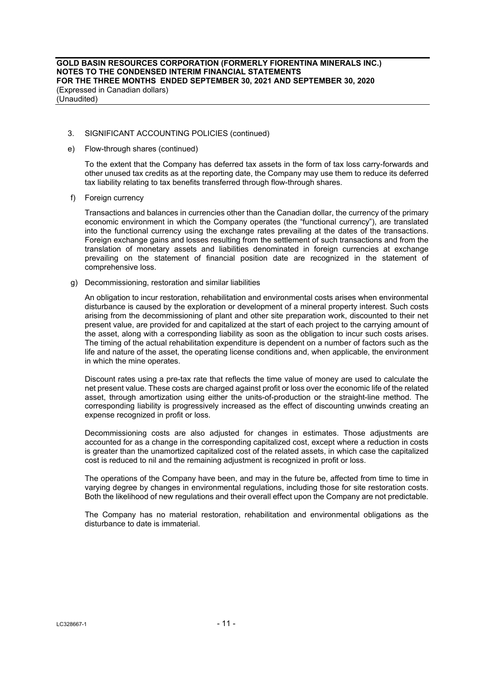## 3. SIGNIFICANT ACCOUNTING POLICIES (continued)

e) Flow-through shares (continued)

To the extent that the Company has deferred tax assets in the form of tax loss carry-forwards and other unused tax credits as at the reporting date, the Company may use them to reduce its deferred tax liability relating to tax benefits transferred through flow-through shares.

f) Foreign currency

Transactions and balances in currencies other than the Canadian dollar, the currency of the primary economic environment in which the Company operates (the "functional currency"), are translated into the functional currency using the exchange rates prevailing at the dates of the transactions. Foreign exchange gains and losses resulting from the settlement of such transactions and from the translation of monetary assets and liabilities denominated in foreign currencies at exchange prevailing on the statement of financial position date are recognized in the statement of comprehensive loss.

g) Decommissioning, restoration and similar liabilities

An obligation to incur restoration, rehabilitation and environmental costs arises when environmental disturbance is caused by the exploration or development of a mineral property interest. Such costs arising from the decommissioning of plant and other site preparation work, discounted to their net present value, are provided for and capitalized at the start of each project to the carrying amount of the asset, along with a corresponding liability as soon as the obligation to incur such costs arises. The timing of the actual rehabilitation expenditure is dependent on a number of factors such as the life and nature of the asset, the operating license conditions and, when applicable, the environment in which the mine operates.

Discount rates using a pre-tax rate that reflects the time value of money are used to calculate the net present value. These costs are charged against profit or loss over the economic life of the related asset, through amortization using either the units-of-production or the straight-line method. The corresponding liability is progressively increased as the effect of discounting unwinds creating an expense recognized in profit or loss.

Decommissioning costs are also adjusted for changes in estimates. Those adjustments are accounted for as a change in the corresponding capitalized cost, except where a reduction in costs is greater than the unamortized capitalized cost of the related assets, in which case the capitalized cost is reduced to nil and the remaining adjustment is recognized in profit or loss.

The operations of the Company have been, and may in the future be, affected from time to time in varying degree by changes in environmental regulations, including those for site restoration costs. Both the likelihood of new regulations and their overall effect upon the Company are not predictable.

The Company has no material restoration, rehabilitation and environmental obligations as the disturbance to date is immaterial.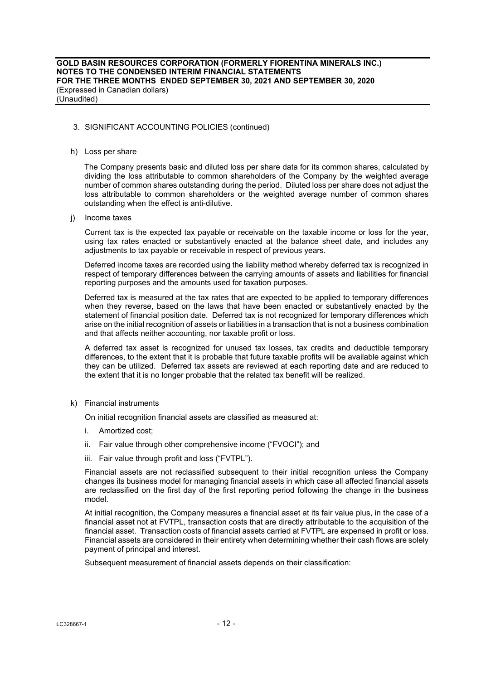#### 3. SIGNIFICANT ACCOUNTING POLICIES (continued)

#### h) Loss per share

 The Company presents basic and diluted loss per share data for its common shares, calculated by dividing the loss attributable to common shareholders of the Company by the weighted average number of common shares outstanding during the period. Diluted loss per share does not adjust the loss attributable to common shareholders or the weighted average number of common shares outstanding when the effect is anti-dilutive.

i) Income taxes

 Current tax is the expected tax payable or receivable on the taxable income or loss for the year, using tax rates enacted or substantively enacted at the balance sheet date, and includes any adjustments to tax payable or receivable in respect of previous years.

 Deferred income taxes are recorded using the liability method whereby deferred tax is recognized in respect of temporary differences between the carrying amounts of assets and liabilities for financial reporting purposes and the amounts used for taxation purposes.

 Deferred tax is measured at the tax rates that are expected to be applied to temporary differences when they reverse, based on the laws that have been enacted or substantively enacted by the statement of financial position date. Deferred tax is not recognized for temporary differences which arise on the initial recognition of assets or liabilities in a transaction that is not a business combination and that affects neither accounting, nor taxable profit or loss.

 A deferred tax asset is recognized for unused tax losses, tax credits and deductible temporary differences, to the extent that it is probable that future taxable profits will be available against which they can be utilized. Deferred tax assets are reviewed at each reporting date and are reduced to the extent that it is no longer probable that the related tax benefit will be realized.

k) Financial instruments

On initial recognition financial assets are classified as measured at:

- i. Amortized cost;
- ii. Fair value through other comprehensive income ("FVOCI"); and
- iii. Fair value through profit and loss ("FVTPL").

Financial assets are not reclassified subsequent to their initial recognition unless the Company changes its business model for managing financial assets in which case all affected financial assets are reclassified on the first day of the first reporting period following the change in the business model.

At initial recognition, the Company measures a financial asset at its fair value plus, in the case of a financial asset not at FVTPL, transaction costs that are directly attributable to the acquisition of the financial asset. Transaction costs of financial assets carried at FVTPL are expensed in profit or loss. Financial assets are considered in their entirety when determining whether their cash flows are solely payment of principal and interest.

Subsequent measurement of financial assets depends on their classification: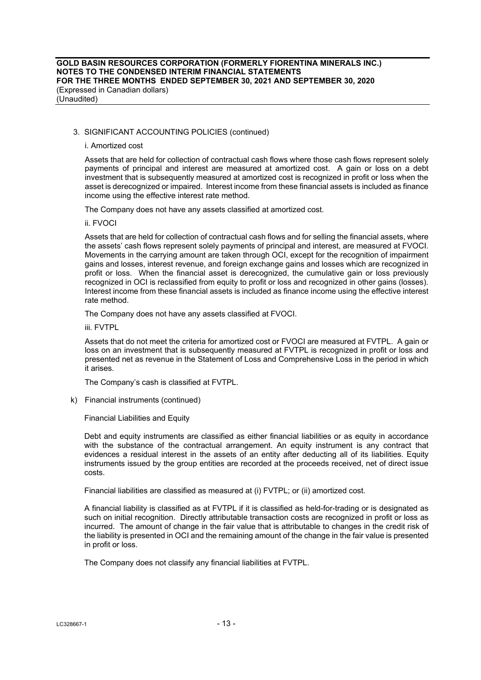## 3. SIGNIFICANT ACCOUNTING POLICIES (continued)

#### i. Amortized cost

Assets that are held for collection of contractual cash flows where those cash flows represent solely payments of principal and interest are measured at amortized cost. A gain or loss on a debt investment that is subsequently measured at amortized cost is recognized in profit or loss when the asset is derecognized or impaired. Interest income from these financial assets is included as finance income using the effective interest rate method.

The Company does not have any assets classified at amortized cost.

#### ii. FVOCI

Assets that are held for collection of contractual cash flows and for selling the financial assets, where the assets' cash flows represent solely payments of principal and interest, are measured at FVOCI. Movements in the carrying amount are taken through OCI, except for the recognition of impairment gains and losses, interest revenue, and foreign exchange gains and losses which are recognized in profit or loss. When the financial asset is derecognized, the cumulative gain or loss previously recognized in OCI is reclassified from equity to profit or loss and recognized in other gains (losses). Interest income from these financial assets is included as finance income using the effective interest rate method.

The Company does not have any assets classified at FVOCI.

iii. FVTPL

Assets that do not meet the criteria for amortized cost or FVOCI are measured at FVTPL. A gain or loss on an investment that is subsequently measured at FVTPL is recognized in profit or loss and presented net as revenue in the Statement of Loss and Comprehensive Loss in the period in which it arises.

The Company's cash is classified at FVTPL.

k) Financial instruments (continued)

Financial Liabilities and Equity

Debt and equity instruments are classified as either financial liabilities or as equity in accordance with the substance of the contractual arrangement. An equity instrument is any contract that evidences a residual interest in the assets of an entity after deducting all of its liabilities. Equity instruments issued by the group entities are recorded at the proceeds received, net of direct issue costs.

Financial liabilities are classified as measured at (i) FVTPL; or (ii) amortized cost.

A financial liability is classified as at FVTPL if it is classified as held-for-trading or is designated as such on initial recognition. Directly attributable transaction costs are recognized in profit or loss as incurred. The amount of change in the fair value that is attributable to changes in the credit risk of the liability is presented in OCI and the remaining amount of the change in the fair value is presented in profit or loss.

The Company does not classify any financial liabilities at FVTPL.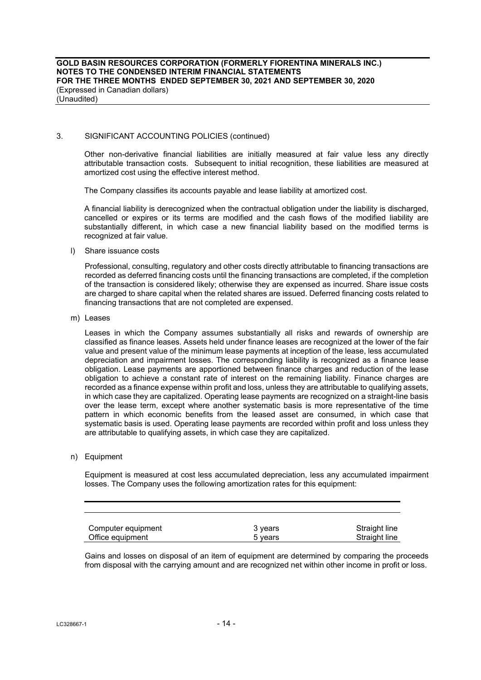## 3. SIGNIFICANT ACCOUNTING POLICIES (continued)

Other non-derivative financial liabilities are initially measured at fair value less any directly attributable transaction costs. Subsequent to initial recognition, these liabilities are measured at amortized cost using the effective interest method.

The Company classifies its accounts payable and lease liability at amortized cost.

A financial liability is derecognized when the contractual obligation under the liability is discharged, cancelled or expires or its terms are modified and the cash flows of the modified liability are substantially different, in which case a new financial liability based on the modified terms is recognized at fair value.

l) Share issuance costs

Professional, consulting, regulatory and other costs directly attributable to financing transactions are recorded as deferred financing costs until the financing transactions are completed, if the completion of the transaction is considered likely; otherwise they are expensed as incurred. Share issue costs are charged to share capital when the related shares are issued. Deferred financing costs related to financing transactions that are not completed are expensed.

m) Leases

Leases in which the Company assumes substantially all risks and rewards of ownership are classified as finance leases. Assets held under finance leases are recognized at the lower of the fair value and present value of the minimum lease payments at inception of the lease, less accumulated depreciation and impairment losses. The corresponding liability is recognized as a finance lease obligation. Lease payments are apportioned between finance charges and reduction of the lease obligation to achieve a constant rate of interest on the remaining liability. Finance charges are recorded as a finance expense within profit and loss, unless they are attributable to qualifying assets, in which case they are capitalized. Operating lease payments are recognized on a straight-line basis over the lease term, except where another systematic basis is more representative of the time pattern in which economic benefits from the leased asset are consumed, in which case that systematic basis is used. Operating lease payments are recorded within profit and loss unless they are attributable to qualifying assets, in which case they are capitalized.

n) Equipment

Equipment is measured at cost less accumulated depreciation, less any accumulated impairment losses. The Company uses the following amortization rates for this equipment:

| Computer equipment | 3 vears | Straight line |
|--------------------|---------|---------------|
| Office equipment   | 5 years | Straight line |

Gains and losses on disposal of an item of equipment are determined by comparing the proceeds from disposal with the carrying amount and are recognized net within other income in profit or loss.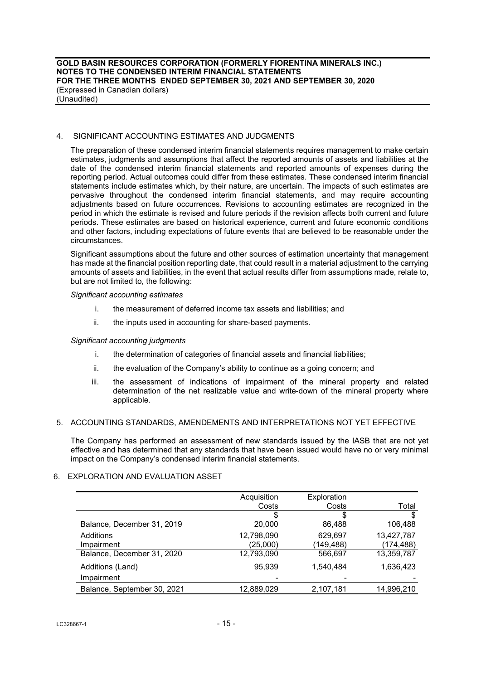## 4. SIGNIFICANT ACCOUNTING ESTIMATES AND JUDGMENTS

The preparation of these condensed interim financial statements requires management to make certain estimates, judgments and assumptions that affect the reported amounts of assets and liabilities at the date of the condensed interim financial statements and reported amounts of expenses during the reporting period. Actual outcomes could differ from these estimates. These condensed interim financial statements include estimates which, by their nature, are uncertain. The impacts of such estimates are pervasive throughout the condensed interim financial statements, and may require accounting adjustments based on future occurrences. Revisions to accounting estimates are recognized in the period in which the estimate is revised and future periods if the revision affects both current and future periods. These estimates are based on historical experience, current and future economic conditions and other factors, including expectations of future events that are believed to be reasonable under the circumstances.

Significant assumptions about the future and other sources of estimation uncertainty that management has made at the financial position reporting date, that could result in a material adjustment to the carrying amounts of assets and liabilities, in the event that actual results differ from assumptions made, relate to, but are not limited to, the following:

### *Significant accounting estimates*

- i. the measurement of deferred income tax assets and liabilities; and
- ii. the inputs used in accounting for share-based payments.

#### *Significant accounting judgments*

- i. the determination of categories of financial assets and financial liabilities;
- ii. the evaluation of the Company's ability to continue as a going concern; and
- iii. the assessment of indications of impairment of the mineral property and related determination of the net realizable value and write-down of the mineral property where applicable.

#### 5. ACCOUNTING STANDARDS, AMENDEMENTS AND INTERPRETATIONS NOT YET EFFECTIVE

The Company has performed an assessment of new standards issued by the IASB that are not yet effective and has determined that any standards that have been issued would have no or very minimal impact on the Company's condensed interim financial statements.

## 6. EXPLORATION AND EVALUATION ASSET

|                             | Acquisition<br>Costs | Exploration<br>Costs | Total      |
|-----------------------------|----------------------|----------------------|------------|
|                             |                      |                      |            |
|                             | S                    | \$                   | \$         |
| Balance, December 31, 2019  | 20,000               | 86,488               | 106,488    |
| Additions                   | 12,798,090           | 629,697              | 13,427,787 |
| Impairment                  | (25,000)             | (149,488)            | (174,488)  |
| Balance, December 31, 2020  | 12,793,090           | 566,697              | 13,359,787 |
| Additions (Land)            | 95.939               | 1.540.484            | 1,636,423  |
| Impairment                  |                      |                      |            |
| Balance, September 30, 2021 | 12,889,029           | 2,107,181            | 14,996,210 |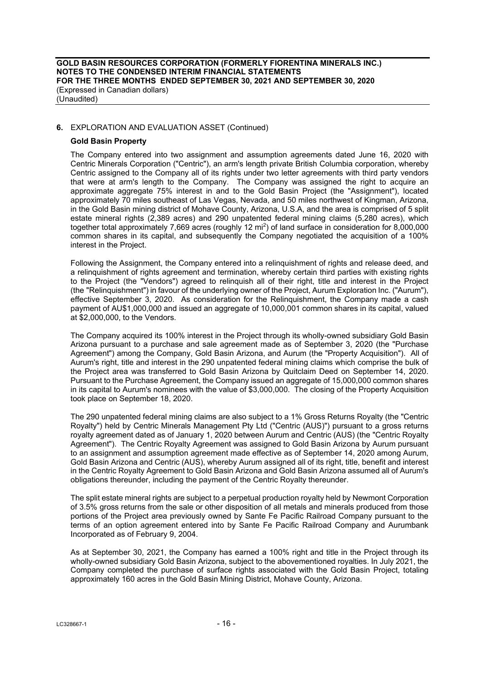## **6.** EXPLORATION AND EVALUATION ASSET (Continued)

## **Gold Basin Property**

The Company entered into two assignment and assumption agreements dated June 16, 2020 with Centric Minerals Corporation ("Centric"), an arm's length private British Columbia corporation, whereby Centric assigned to the Company all of its rights under two letter agreements with third party vendors that were at arm's length to the Company. The Company was assigned the right to acquire an approximate aggregate 75% interest in and to the Gold Basin Project (the "Assignment"), located approximately 70 miles southeast of Las Vegas, Nevada, and 50 miles northwest of Kingman, Arizona, in the Gold Basin mining district of Mohave County, Arizona, U.S.A, and the area is comprised of 5 split estate mineral rights (2,389 acres) and 290 unpatented federal mining claims (5,280 acres), which together total approximately 7,669 acres (roughly 12 mi2) of land surface in consideration for 8,000,000 common shares in its capital, and subsequently the Company negotiated the acquisition of a 100% interest in the Project.

Following the Assignment, the Company entered into a relinquishment of rights and release deed, and a relinquishment of rights agreement and termination, whereby certain third parties with existing rights to the Project (the "Vendors") agreed to relinquish all of their right, title and interest in the Project (the "Relinquishment") in favour of the underlying owner of the Project, Aurum Exploration Inc. ("Aurum"), effective September 3, 2020. As consideration for the Relinquishment, the Company made a cash payment of AU\$1,000,000 and issued an aggregate of 10,000,001 common shares in its capital, valued at \$2,000,000, to the Vendors.

The Company acquired its 100% interest in the Project through its wholly-owned subsidiary Gold Basin Arizona pursuant to a purchase and sale agreement made as of September 3, 2020 (the "Purchase Agreement") among the Company, Gold Basin Arizona, and Aurum (the "Property Acquisition"). All of Aurum's right, title and interest in the 290 unpatented federal mining claims which comprise the bulk of the Project area was transferred to Gold Basin Arizona by Quitclaim Deed on September 14, 2020. Pursuant to the Purchase Agreement, the Company issued an aggregate of 15,000,000 common shares in its capital to Aurum's nominees with the value of \$3,000,000. The closing of the Property Acquisition took place on September 18, 2020.

The 290 unpatented federal mining claims are also subject to a 1% Gross Returns Royalty (the "Centric Royalty") held by Centric Minerals Management Pty Ltd ("Centric (AUS)") pursuant to a gross returns royalty agreement dated as of January 1, 2020 between Aurum and Centric (AUS) (the "Centric Royalty Agreement"). The Centric Royalty Agreement was assigned to Gold Basin Arizona by Aurum pursuant to an assignment and assumption agreement made effective as of September 14, 2020 among Aurum, Gold Basin Arizona and Centric (AUS), whereby Aurum assigned all of its right, title, benefit and interest in the Centric Royalty Agreement to Gold Basin Arizona and Gold Basin Arizona assumed all of Aurum's obligations thereunder, including the payment of the Centric Royalty thereunder.

The split estate mineral rights are subject to a perpetual production royalty held by Newmont Corporation of 3.5% gross returns from the sale or other disposition of all metals and minerals produced from those portions of the Project area previously owned by Sante Fe Pacific Railroad Company pursuant to the terms of an option agreement entered into by Sante Fe Pacific Railroad Company and Aurumbank Incorporated as of February 9, 2004.

As at September 30, 2021, the Company has earned a 100% right and title in the Project through its wholly-owned subsidiary Gold Basin Arizona, subject to the abovementioned royalties. In July 2021, the Company completed the purchase of surface rights associated with the Gold Basin Project, totaling approximately 160 acres in the Gold Basin Mining District, Mohave County, Arizona.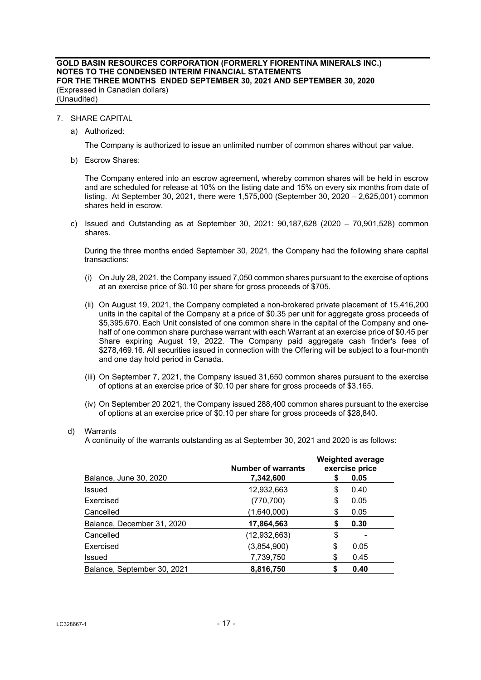- 7. SHARE CAPITAL
	- a) Authorized:

The Company is authorized to issue an unlimited number of common shares without par value.

b) Escrow Shares:

The Company entered into an escrow agreement, whereby common shares will be held in escrow and are scheduled for release at 10% on the listing date and 15% on every six months from date of listing. At September 30, 2021, there were 1,575,000 (September 30, 2020 – 2,625,001) common shares held in escrow.

c) Issued and Outstanding as at September 30, 2021: 90,187,628 (2020 – 70,901,528) common shares.

During the three months ended September 30, 2021, the Company had the following share capital transactions:

- (i) On July 28, 2021, the Company issued 7,050 common shares pursuant to the exercise of options at an exercise price of \$0.10 per share for gross proceeds of \$705.
- (ii) On August 19, 2021, the Company completed a non-brokered private placement of 15,416,200 units in the capital of the Company at a price of \$0.35 per unit for aggregate gross proceeds of \$5,395,670. Each Unit consisted of one common share in the capital of the Company and onehalf of one common share purchase warrant with each Warrant at an exercise price of \$0.45 per Share expiring August 19, 2022. The Company paid aggregate cash finder's fees of \$278,469.16. All securities issued in connection with the Offering will be subject to a four-month and one day hold period in Canada.
- (iii) On September 7, 2021, the Company issued 31,650 common shares pursuant to the exercise of options at an exercise price of \$0.10 per share for gross proceeds of \$3,165.
- (iv) On September 20 2021, the Company issued 288,400 common shares pursuant to the exercise of options at an exercise price of \$0.10 per share for gross proceeds of \$28,840.
- d) Warrants

A continuity of the warrants outstanding as at September 30, 2021 and 2020 is as follows:

|                             | <b>Number of warrants</b> |    | <b>Weighted average</b><br>exercise price |
|-----------------------------|---------------------------|----|-------------------------------------------|
| Balance, June 30, 2020      | 7,342,600                 | \$ | 0.05                                      |
| <b>Issued</b>               | 12,932,663                | \$ | 0.40                                      |
| Exercised                   | (770, 700)                | \$ | 0.05                                      |
| Cancelled                   | (1,640,000)               | \$ | 0.05                                      |
| Balance, December 31, 2020  | 17,864,563                | S  | 0.30                                      |
| Cancelled                   | (12, 932, 663)            | \$ |                                           |
| Exercised                   | (3,854,900)               | \$ | 0.05                                      |
| <b>Issued</b>               | 7,739,750                 | \$ | 0.45                                      |
| Balance, September 30, 2021 | 8,816,750                 | S  | 0.40                                      |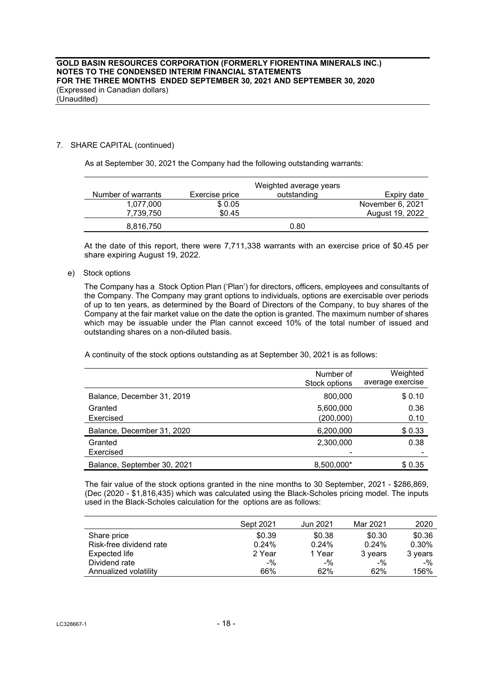## 7. SHARE CAPITAL (continued)

As at September 30, 2021 the Company had the following outstanding warrants:

|                    |                | Weighted average years |                  |
|--------------------|----------------|------------------------|------------------|
| Number of warrants | Exercise price | outstanding            | Expiry date      |
| 1.077.000          | \$0.05         |                        | November 6, 2021 |
| 7.739.750          | \$0.45         |                        | August 19, 2022  |
| 8,816,750          |                | 0.80                   |                  |

At the date of this report, there were 7,711,338 warrants with an exercise price of \$0.45 per share expiring August 19, 2022.

e) Stock options

The Company has a Stock Option Plan ('Plan') for directors, officers, employees and consultants of the Company. The Company may grant options to individuals, options are exercisable over periods of up to ten years, as determined by the Board of Directors of the Company, to buy shares of the Company at the fair market value on the date the option is granted. The maximum number of shares which may be issuable under the Plan cannot exceed 10% of the total number of issued and outstanding shares on a non-diluted basis.

A continuity of the stock options outstanding as at September 30, 2021 is as follows:

|                             | Number of<br>Stock options | Weighted<br>average exercise |
|-----------------------------|----------------------------|------------------------------|
| Balance, December 31, 2019  | 800,000                    | \$0.10                       |
| Granted<br>Exercised        | 5,600,000<br>(200,000)     | 0.36<br>0.10                 |
| Balance, December 31, 2020  | 6,200,000                  | \$0.33                       |
| Granted<br>Exercised        | 2,300,000                  | 0.38                         |
| Balance, September 30, 2021 | 8,500,000*                 | \$0.35                       |

The fair value of the stock options granted in the nine months to 30 September, 2021 - \$286,869, (Dec (2020 - \$1,816,435) which was calculated using the Black-Scholes pricing model. The inputs used in the Black-Scholes calculation for the options are as follows:

|                         | Sept 2021 | Jun 2021 | Mar 2021 | 2020    |
|-------------------------|-----------|----------|----------|---------|
| Share price             | \$0.39    | \$0.38   | \$0.30   | \$0.36  |
| Risk-free dividend rate | 0.24%     | 0.24%    | 0.24%    | 0.30%   |
| Expected life           | 2 Year    | 1 Year   | 3 years  | 3 years |
| Dividend rate           | $-$ %     | $-$ %    | $-$ %    | $-$ %   |
| Annualized volatility   | 66%       | 62%      | 62%      | 156%    |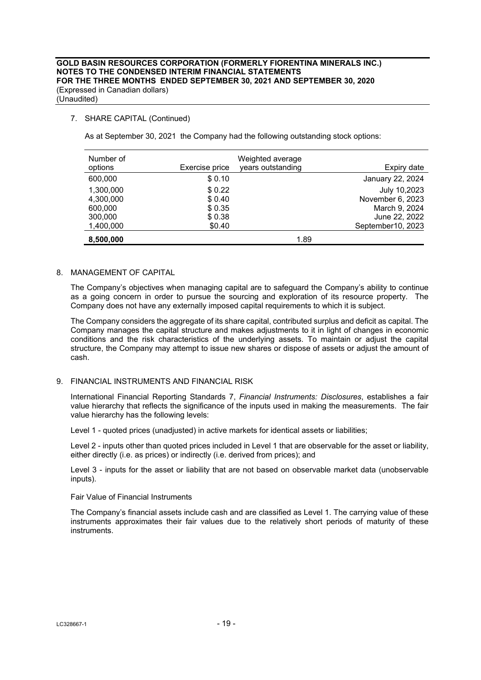## 7. SHARE CAPITAL (Continued)

As at September 30, 2021 the Company had the following outstanding stock options:

| Number of<br>options                         | Exercise price                       | Weighted average<br>years outstanding | Expiry date                                                        |
|----------------------------------------------|--------------------------------------|---------------------------------------|--------------------------------------------------------------------|
| 600,000                                      | \$0.10                               |                                       | January 22, 2024                                                   |
| 1,300,000<br>4,300,000<br>600,000<br>300,000 | \$0.22<br>\$0.40<br>\$0.35<br>\$0.38 |                                       | July 10,2023<br>November 6, 2023<br>March 9, 2024<br>June 22, 2022 |
| 1,400,000                                    | \$0.40                               |                                       | September10, 2023                                                  |
| 8,500,000                                    |                                      | 1.89                                  |                                                                    |

#### 8. MANAGEMENT OF CAPITAL

The Company's objectives when managing capital are to safeguard the Company's ability to continue as a going concern in order to pursue the sourcing and exploration of its resource property. The Company does not have any externally imposed capital requirements to which it is subject.

The Company considers the aggregate of its share capital, contributed surplus and deficit as capital. The Company manages the capital structure and makes adjustments to it in light of changes in economic conditions and the risk characteristics of the underlying assets. To maintain or adjust the capital structure, the Company may attempt to issue new shares or dispose of assets or adjust the amount of cash.

#### 9. FINANCIAL INSTRUMENTS AND FINANCIAL RISK

International Financial Reporting Standards 7, *Financial Instruments: Disclosures*, establishes a fair value hierarchy that reflects the significance of the inputs used in making the measurements. The fair value hierarchy has the following levels:

Level 1 - quoted prices (unadjusted) in active markets for identical assets or liabilities;

Level 2 - inputs other than quoted prices included in Level 1 that are observable for the asset or liability, either directly (i.e. as prices) or indirectly (i.e. derived from prices); and

Level 3 - inputs for the asset or liability that are not based on observable market data (unobservable inputs).

Fair Value of Financial Instruments

The Company's financial assets include cash and are classified as Level 1. The carrying value of these instruments approximates their fair values due to the relatively short periods of maturity of these instruments.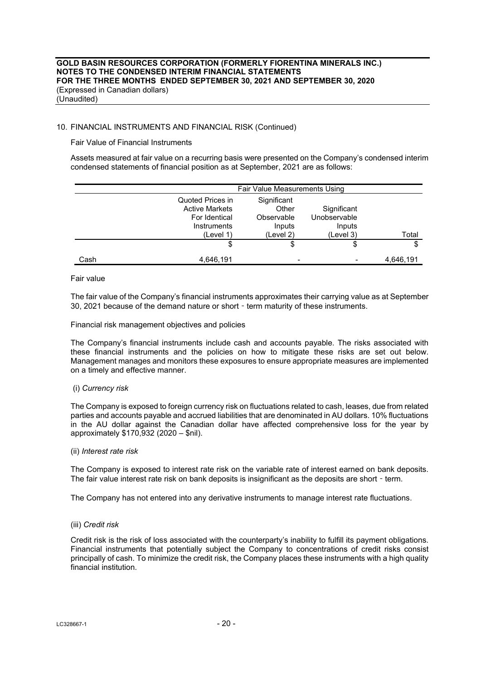### 10. FINANCIAL INSTRUMENTS AND FINANCIAL RISK (Continued)

Fair Value of Financial Instruments

Assets measured at fair value on a recurring basis were presented on the Company's condensed interim condensed statements of financial position as at September, 2021 are as follows:

|      | <b>Fair Value Measurements Using</b>                                                   |                                                           |                                                    |           |
|------|----------------------------------------------------------------------------------------|-----------------------------------------------------------|----------------------------------------------------|-----------|
|      | Quoted Prices in<br><b>Active Markets</b><br>For Identical<br>Instruments<br>(Level 1) | Significant<br>Other<br>Observable<br>Inputs<br>(Level 2) | Significant<br>Unobservable<br>Inputs<br>(Level 3) | Total     |
|      | \$                                                                                     | S                                                         | \$                                                 | S         |
| Cash | 4,646,191                                                                              |                                                           |                                                    | 4,646,191 |

#### Fair value

The fair value of the Company's financial instruments approximates their carrying value as at September 30, 2021 because of the demand nature or short - term maturity of these instruments.

Financial risk management objectives and policies

The Company's financial instruments include cash and accounts payable. The risks associated with these financial instruments and the policies on how to mitigate these risks are set out below. Management manages and monitors these exposures to ensure appropriate measures are implemented on a timely and effective manner.

#### (i) *Currency risk*

The Company is exposed to foreign currency risk on fluctuations related to cash, leases, due from related parties and accounts payable and accrued liabilities that are denominated in AU dollars. 10% fluctuations in the AU dollar against the Canadian dollar have affected comprehensive loss for the year by approximately \$170,932 (2020 – \$nil).

#### (ii) *Interest rate risk*

The Company is exposed to interest rate risk on the variable rate of interest earned on bank deposits. The fair value interest rate risk on bank deposits is insignificant as the deposits are short - term.

The Company has not entered into any derivative instruments to manage interest rate fluctuations.

#### (iii) *Credit risk*

Credit risk is the risk of loss associated with the counterparty's inability to fulfill its payment obligations. Financial instruments that potentially subject the Company to concentrations of credit risks consist principally of cash. To minimize the credit risk, the Company places these instruments with a high quality financial institution.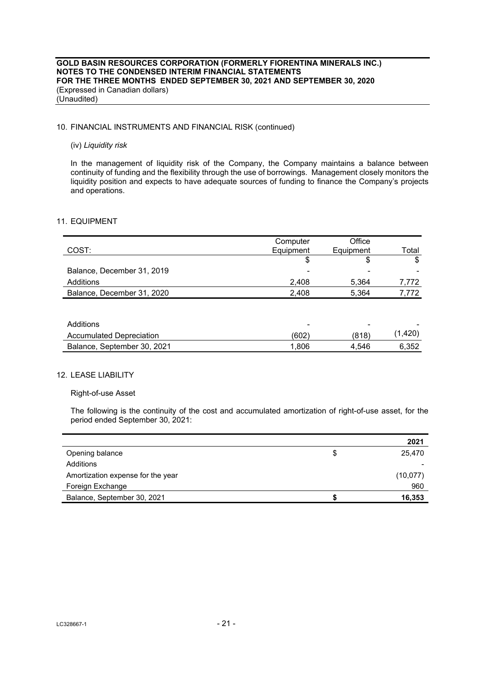## 10. FINANCIAL INSTRUMENTS AND FINANCIAL RISK (continued)

### (iv) *Liquidity risk*

In the management of liquidity risk of the Company, the Company maintains a balance between continuity of funding and the flexibility through the use of borrowings. Management closely monitors the liquidity position and expects to have adequate sources of funding to finance the Company's projects and operations.

### 11. EQUIPMENT

|                                 | Computer  | Office    |         |
|---------------------------------|-----------|-----------|---------|
| COST:                           | Equipment | Equipment | Total   |
|                                 | \$        | \$        | \$      |
| Balance, December 31, 2019      |           |           |         |
| Additions                       | 2,408     | 5,364     | 7,772   |
| Balance, December 31, 2020      | 2,408     | 5,364     | 7,772   |
|                                 |           |           |         |
|                                 |           |           |         |
| Additions                       |           |           |         |
| <b>Accumulated Depreciation</b> | (602)     | (818)     | (1,420) |
| Balance, September 30, 2021     | 1,806     | 4.546     | 6,352   |

## 12. LEASE LIABILITY

#### Right-of-use Asset

The following is the continuity of the cost and accumulated amortization of right-of-use asset, for the period ended September 30, 2021:

|                                   |   | 2021     |
|-----------------------------------|---|----------|
| Opening balance                   | S | 25.470   |
| Additions                         |   |          |
| Amortization expense for the year |   | (10,077) |
| Foreign Exchange                  |   | 960      |
| Balance, September 30, 2021       |   | 16,353   |